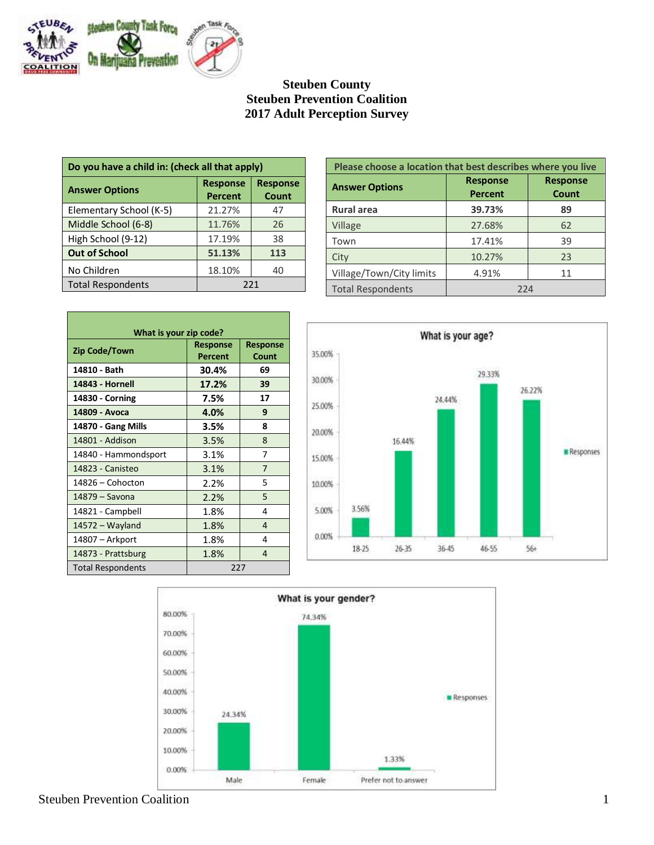

# **Steuben County Steuben Prevention Coalition 2017 Adult Perception Survey**

| Do you have a child in: (check all that apply) |                                   |                          |
|------------------------------------------------|-----------------------------------|--------------------------|
| <b>Answer Options</b>                          | <b>Response</b><br><b>Percent</b> | <b>Response</b><br>Count |
| Elementary School (K-5)                        | 21.27%                            | 47                       |
| Middle School (6-8)                            | 11.76%                            | 26                       |
| High School (9-12)                             | 17.19%                            | 38                       |
| <b>Out of School</b>                           | 51.13%                            | 113                      |
| No Children                                    | 18.10%                            | 40                       |
| <b>Total Respondents</b>                       | 221                               |                          |

| What is your zip code?   |                            |                          |
|--------------------------|----------------------------|--------------------------|
| <b>Zip Code/Town</b>     | <b>Response</b><br>Percent | <b>Response</b><br>Count |
| 14810 - Bath             | 30.4%                      | 69                       |
| 14843 - Hornell          | 17.2%                      | 39                       |
| 14830 - Corning          | 7.5%                       | 17                       |
| 14809 - Avoca            | 4.0%                       | 9                        |
| 14870 - Gang Mills       | 3.5%                       | 8                        |
| 14801 - Addison          | 3.5%                       | 8                        |
| 14840 - Hammondsport     | 3.1%                       | 7                        |
| 14823 - Canisteo         | 3.1%                       | $\overline{7}$           |
| 14826 - Cohocton         | 2.2%                       | 5                        |
| 14879 - Savona           | 2.2%                       | 5                        |
| 14821 - Campbell         | 1.8%                       | 4                        |
| 14572 - Wayland          | 1.8%                       | 4                        |
| 14807 – Arkport          | 1.8%                       | 4                        |
| 14873 - Prattsburg       | 1.8%                       | $\overline{4}$           |
| <b>Total Respondents</b> | 227                        |                          |

| Please choose a location that best describes where you live |                                   |                          |  |
|-------------------------------------------------------------|-----------------------------------|--------------------------|--|
| <b>Answer Options</b>                                       | <b>Response</b><br><b>Percent</b> | <b>Response</b><br>Count |  |
| <b>Rural area</b>                                           | 39.73%                            | 89                       |  |
| Village                                                     | 27.68%                            | 62                       |  |
| Town                                                        | 17.41%                            | 39                       |  |
| City                                                        | 10.27%                            | 23                       |  |
| Village/Town/City limits                                    | 4.91%                             | 11                       |  |
| <b>Total Respondents</b>                                    | 224                               |                          |  |





## Steuben Prevention Coalition 1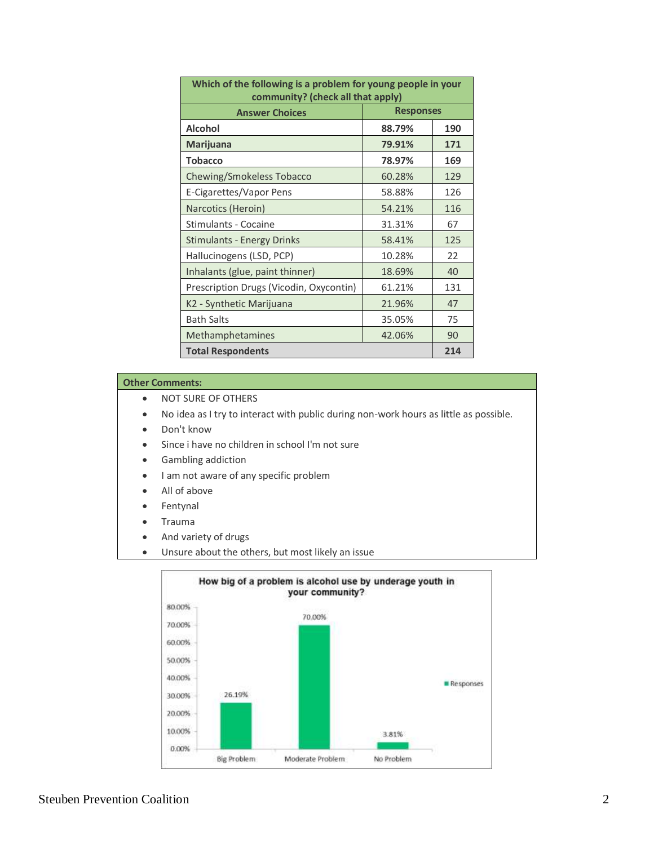| Which of the following is a problem for young people in your<br>community? (check all that apply) |                  |     |
|---------------------------------------------------------------------------------------------------|------------------|-----|
| <b>Answer Choices</b>                                                                             | <b>Responses</b> |     |
| <b>Alcohol</b>                                                                                    | 88.79%           | 190 |
| <b>Marijuana</b>                                                                                  | 79.91%           | 171 |
| <b>Tobacco</b>                                                                                    | 78.97%           | 169 |
| Chewing/Smokeless Tobacco                                                                         | 60.28%           | 129 |
| E-Cigarettes/Vapor Pens                                                                           | 58.88%           | 126 |
| Narcotics (Heroin)                                                                                | 54.21%           | 116 |
| Stimulants - Cocaine                                                                              | 31.31%           | 67  |
| <b>Stimulants - Energy Drinks</b>                                                                 | 58.41%           | 125 |
| Hallucinogens (LSD, PCP)                                                                          | 10.28%           | 22  |
| Inhalants (glue, paint thinner)                                                                   | 18.69%           | 40  |
| Prescription Drugs (Vicodin, Oxycontin)                                                           | 61.21%           | 131 |
| K2 - Synthetic Marijuana                                                                          | 21.96%           | 47  |
| <b>Bath Salts</b>                                                                                 | 35.05%           | 75  |
| Methamphetamines                                                                                  | 42.06%           | 90  |
| <b>Total Respondents</b><br>214                                                                   |                  |     |

- NOT SURE OF OTHERS
- No idea as I try to interact with public during non-work hours as little as possible.
- Don't know
- Since i have no children in school I'm not sure
- Gambling addiction
- I am not aware of any specific problem
- All of above
- Fentynal
- Trauma
- And variety of drugs
- Unsure about the others, but most likely an issue

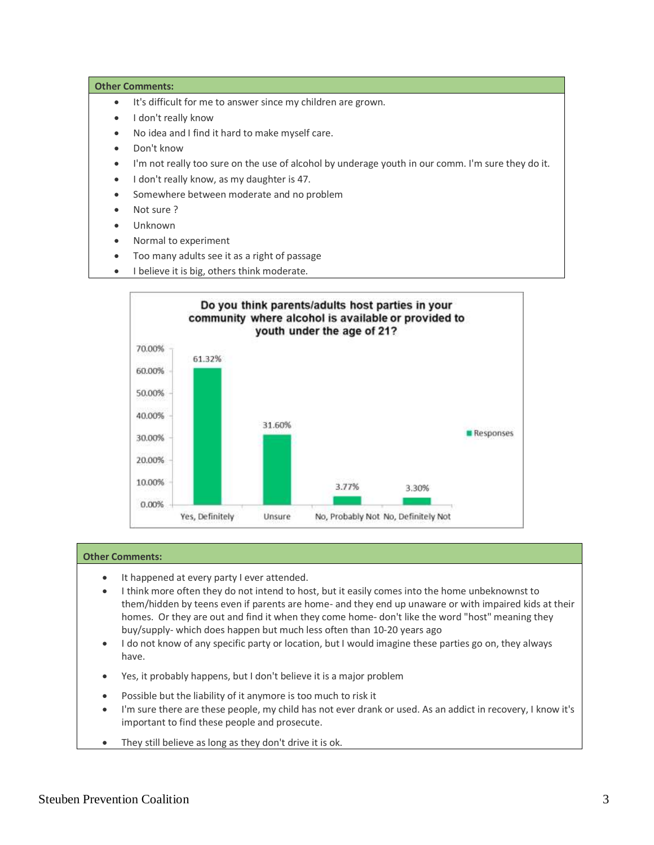- It's difficult for me to answer since my children are grown.
- I don't really know
- No idea and I find it hard to make myself care.
- Don't know
- I'm not really too sure on the use of alcohol by underage youth in our comm. I'm sure they do it.
- $\bullet$  I don't really know, as my daughter is 47.
- Somewhere between moderate and no problem
- Not sure ?
- Unknown
- Normal to experiment
- Too many adults see it as a right of passage
- I believe it is big, others think moderate.



- It happened at every party I ever attended.
- I think more often they do not intend to host, but it easily comes into the home unbeknownst to them/hidden by teens even if parents are home- and they end up unaware or with impaired kids at their homes. Or they are out and find it when they come home- don't like the word "host" meaning they buy/supply- which does happen but much less often than 10-20 years ago
- I do not know of any specific party or location, but I would imagine these parties go on, they always have.
- Yes, it probably happens, but I don't believe it is a major problem
- Possible but the liability of it anymore is too much to risk it
- I'm sure there are these people, my child has not ever drank or used. As an addict in recovery, I know it's important to find these people and prosecute.
- They still believe as long as they don't drive it is ok.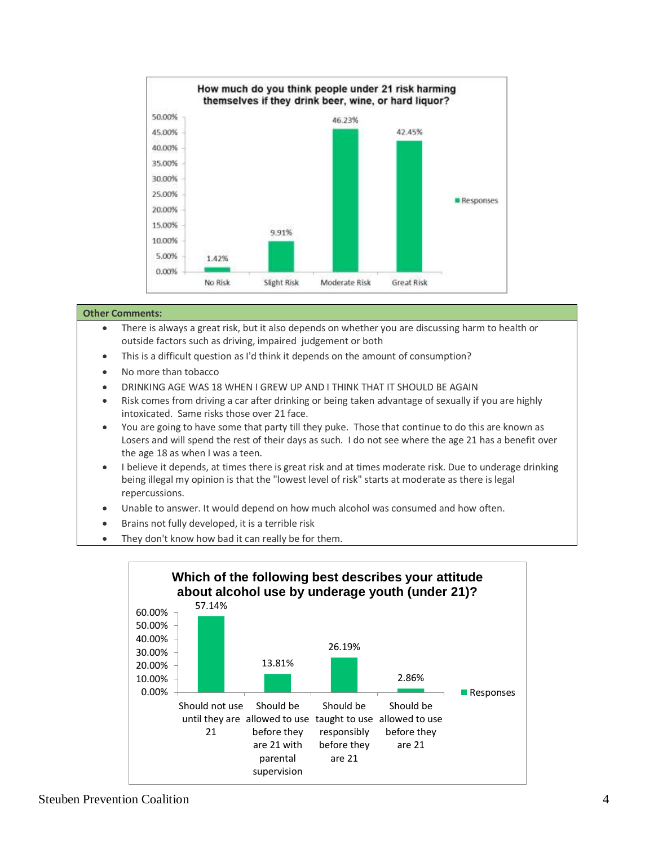

- There is always a great risk, but it also depends on whether you are discussing harm to health or outside factors such as driving, impaired judgement or both
- This is a difficult question as I'd think it depends on the amount of consumption?
- No more than tobacco
- DRINKING AGE WAS 18 WHEN I GREW UP AND I THINK THAT IT SHOULD BE AGAIN
- Risk comes from driving a car after drinking or being taken advantage of sexually if you are highly intoxicated. Same risks those over 21 face.
- You are going to have some that party till they puke. Those that continue to do this are known as Losers and will spend the rest of their days as such. I do not see where the age 21 has a benefit over the age 18 as when I was a teen.
- I believe it depends, at times there is great risk and at times moderate risk. Due to underage drinking being illegal my opinion is that the "lowest level of risk" starts at moderate as there is legal repercussions.
- Unable to answer. It would depend on how much alcohol was consumed and how often.
- Brains not fully developed, it is a terrible risk
- They don't know how bad it can really be for them.

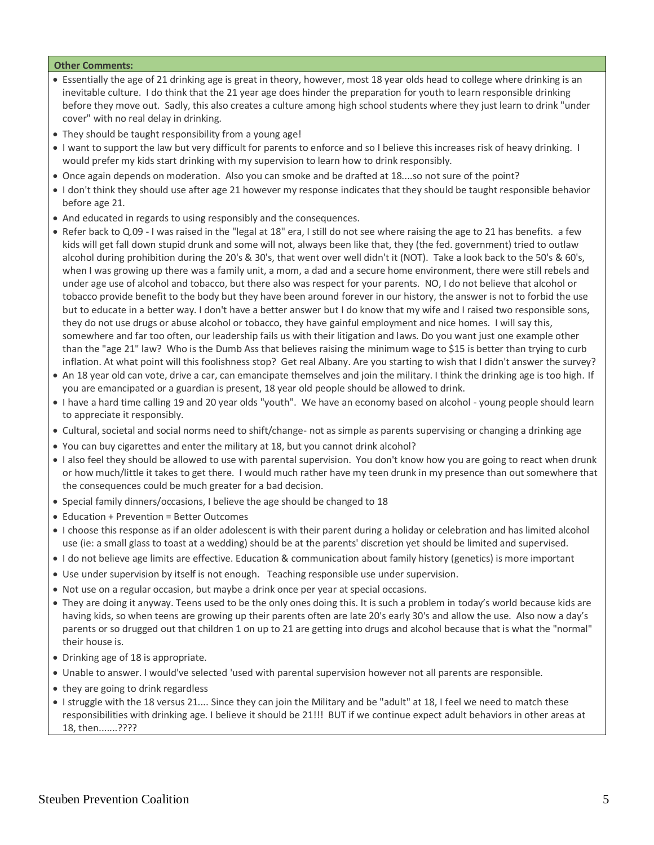- Essentially the age of 21 drinking age is great in theory, however, most 18 year olds head to college where drinking is an inevitable culture. I do think that the 21 year age does hinder the preparation for youth to learn responsible drinking before they move out. Sadly, this also creates a culture among high school students where they just learn to drink "under cover" with no real delay in drinking.
- They should be taught responsibility from a young age!
- I want to support the law but very difficult for parents to enforce and so I believe this increases risk of heavy drinking. I would prefer my kids start drinking with my supervision to learn how to drink responsibly.
- Once again depends on moderation. Also you can smoke and be drafted at 18....so not sure of the point?
- I don't think they should use after age 21 however my response indicates that they should be taught responsible behavior before age 21.
- And educated in regards to using responsibly and the consequences.
- Refer back to Q.09 I was raised in the "legal at 18" era, I still do not see where raising the age to 21 has benefits. a few kids will get fall down stupid drunk and some will not, always been like that, they (the fed. government) tried to outlaw alcohol during prohibition during the 20's & 30's, that went over well didn't it (NOT). Take a look back to the 50's & 60's, when I was growing up there was a family unit, a mom, a dad and a secure home environment, there were still rebels and under age use of alcohol and tobacco, but there also was respect for your parents. NO, I do not believe that alcohol or tobacco provide benefit to the body but they have been around forever in our history, the answer is not to forbid the use but to educate in a better way. I don't have a better answer but I do know that my wife and I raised two responsible sons, they do not use drugs or abuse alcohol or tobacco, they have gainful employment and nice homes. I will say this, somewhere and far too often, our leadership fails us with their litigation and laws. Do you want just one example other than the "age 21" law? Who is the Dumb Ass that believes raising the minimum wage to \$15 is better than trying to curb inflation. At what point will this foolishness stop? Get real Albany. Are you starting to wish that I didn't answer the survey?
- An 18 year old can vote, drive a car, can emancipate themselves and join the military. I think the drinking age is too high. If you are emancipated or a guardian is present, 18 year old people should be allowed to drink.
- I have a hard time calling 19 and 20 year olds "youth". We have an economy based on alcohol young people should learn to appreciate it responsibly.
- Cultural, societal and social norms need to shift/change- not as simple as parents supervising or changing a drinking age
- You can buy cigarettes and enter the military at 18, but you cannot drink alcohol?
- I also feel they should be allowed to use with parental supervision. You don't know how you are going to react when drunk or how much/little it takes to get there. I would much rather have my teen drunk in my presence than out somewhere that the consequences could be much greater for a bad decision.
- Special family dinners/occasions, I believe the age should be changed to 18
- Education + Prevention = Better Outcomes
- I choose this response as if an older adolescent is with their parent during a holiday or celebration and has limited alcohol use (ie: a small glass to toast at a wedding) should be at the parents' discretion yet should be limited and supervised.
- I do not believe age limits are effective. Education & communication about family history (genetics) is more important
- Use under supervision by itself is not enough. Teaching responsible use under supervision.
- Not use on a regular occasion, but maybe a drink once per year at special occasions.
- They are doing it anyway. Teens used to be the only ones doing this. It is such a problem in today's world because kids are having kids, so when teens are growing up their parents often are late 20's early 30's and allow the use. Also now a day's parents or so drugged out that children 1 on up to 21 are getting into drugs and alcohol because that is what the "normal" their house is.
- Drinking age of 18 is appropriate.
- Unable to answer. I would've selected 'used with parental supervision however not all parents are responsible.
- they are going to drink regardless
- I struggle with the 18 versus 21.... Since they can join the Military and be "adult" at 18, I feel we need to match these responsibilities with drinking age. I believe it should be 21!!! BUT if we continue expect adult behaviors in other areas at 18, then.......????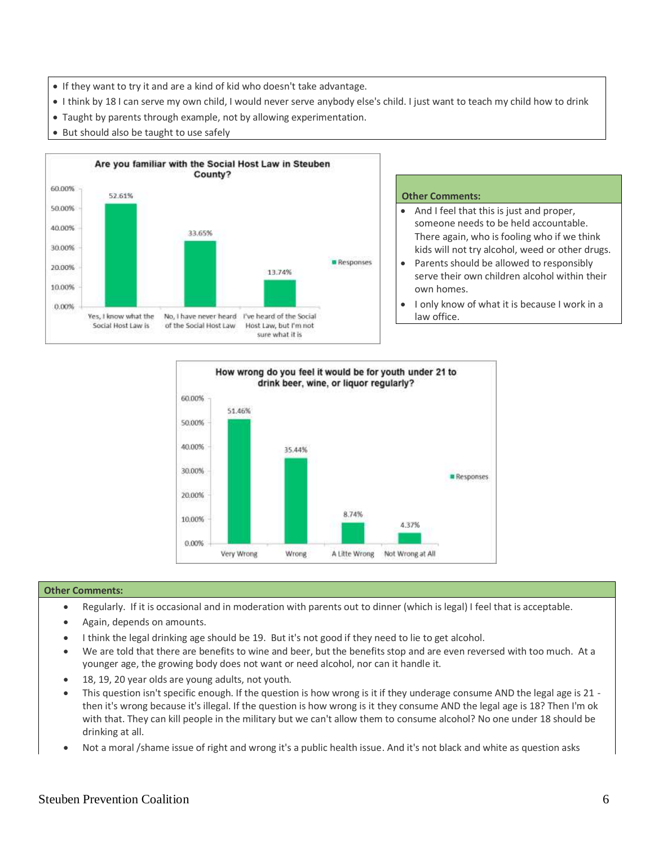- If they want to try it and are a kind of kid who doesn't take advantage.
- I think by 18 I can serve my own child, I would never serve anybody else's child. I just want to teach my child how to drink
- Taught by parents through example, not by allowing experimentation.
- But should also be taught to use safely



- And I feel that this is just and proper, someone needs to be held accountable. There again, who is fooling who if we think kids will not try alcohol, weed or other drugs.
- Parents should be allowed to responsibly serve their own children alcohol within their own homes.
- I only know of what it is because I work in a law office.



- Regularly. If it is occasional and in moderation with parents out to dinner (which is legal) I feel that is acceptable.
- Again, depends on amounts.
- I think the legal drinking age should be 19. But it's not good if they need to lie to get alcohol.
- We are told that there are benefits to wine and beer, but the benefits stop and are even reversed with too much. At a younger age, the growing body does not want or need alcohol, nor can it handle it.
- 18, 19, 20 year olds are young adults, not youth.
- This question isn't specific enough. If the question is how wrong is it if they underage consume AND the legal age is 21 then it's wrong because it's illegal. If the question is how wrong is it they consume AND the legal age is 18? Then I'm ok with that. They can kill people in the military but we can't allow them to consume alcohol? No one under 18 should be drinking at all.
- Not a moral /shame issue of right and wrong it's a public health issue. And it's not black and white as question asks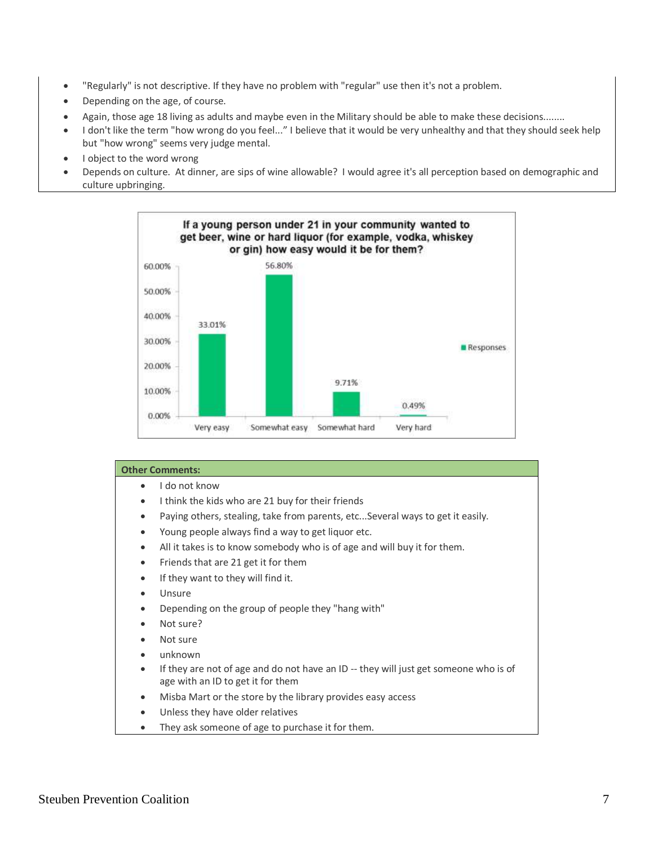- "Regularly" is not descriptive. If they have no problem with "regular" use then it's not a problem.
- Depending on the age, of course.
- Again, those age 18 living as adults and maybe even in the Military should be able to make these decisions........
- I don't like the term "how wrong do you feel..." I believe that it would be very unhealthy and that they should seek help but "how wrong" seems very judge mental.
- I object to the word wrong
- Depends on culture. At dinner, are sips of wine allowable? I would agree it's all perception based on demographic and culture upbringing.



| <b>Other Comments:</b>                                                                            |
|---------------------------------------------------------------------------------------------------|
| I do not know<br>$\bullet$                                                                        |
| I think the kids who are 21 buy for their friends<br>٠                                            |
| Paying others, stealing, take from parents, etcSeveral ways to get it easily.<br>$\bullet$        |
| Young people always find a way to get liquor etc.<br>$\bullet$                                    |
| All it takes is to know somebody who is of age and will buy it for them.<br>$\bullet$             |
| Friends that are 21 get it for them<br>$\bullet$                                                  |
| If they want to they will find it.<br>$\bullet$                                                   |
| Unsure<br>٠                                                                                       |
| Depending on the group of people they "hang with"<br>٠                                            |
| Not sure?<br>$\bullet$                                                                            |
| Not sure<br>$\bullet$                                                                             |
| unknown<br>$\bullet$                                                                              |
| If they are not of age and do not have an ID -- they will just get someone who is of<br>$\bullet$ |
| age with an ID to get it for them                                                                 |
| Misba Mart or the store by the library provides easy access<br>$\bullet$                          |
| Unless they have older relatives<br>٠                                                             |
| They ask someone of age to purchase it for them.<br>٠                                             |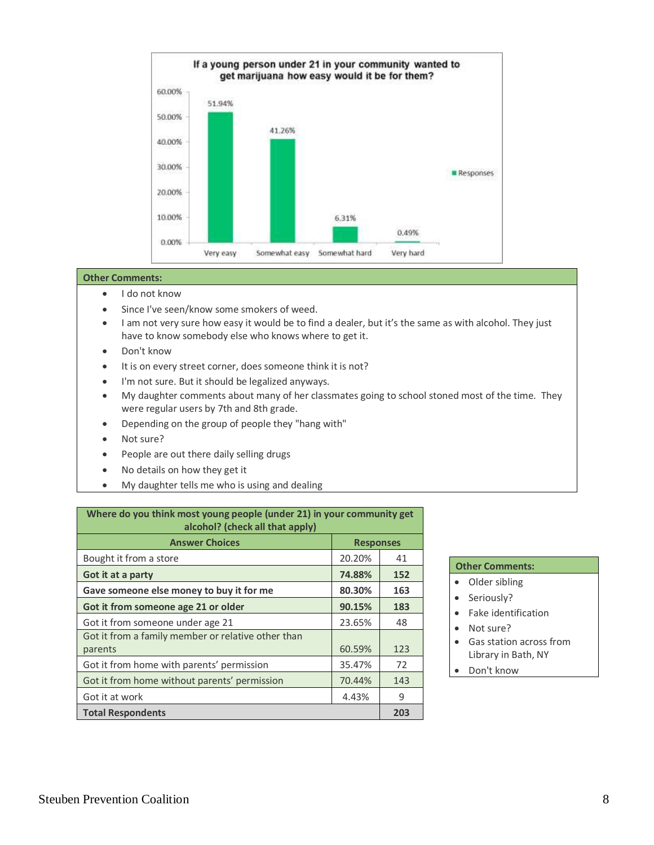

- I do not know
- **Since I've seen/know some smokers of weed.**
- I am not very sure how easy it would be to find a dealer, but it's the same as with alcohol. They just have to know somebody else who knows where to get it.
- Don't know
- $\bullet$  It is on every street corner, does someone think it is not?
- I'm not sure. But it should be legalized anyways.
- My daughter comments about many of her classmates going to school stoned most of the time. They were regular users by 7th and 8th grade.
- Depending on the group of people they "hang with"
- Not sure?
- People are out there daily selling drugs
- No details on how they get it
- My daughter tells me who is using and dealing

| Where do you think most young people (under 21) in your community get<br>alcohol? (check all that apply) |                  |     |
|----------------------------------------------------------------------------------------------------------|------------------|-----|
| <b>Answer Choices</b>                                                                                    | <b>Responses</b> |     |
| Bought it from a store                                                                                   | 20.20%           | 41  |
| Got it at a party                                                                                        | 74.88%           | 152 |
| Gave someone else money to buy it for me                                                                 | 80.30%           | 163 |
| Got it from someone age 21 or older                                                                      | 90.15%           | 183 |
| Got it from someone under age 21                                                                         | 23.65%           | 48  |
| Got it from a family member or relative other than<br>parents                                            | 60.59%           | 123 |
| Got it from home with parents' permission                                                                | 35.47%           | 72  |
| Got it from home without parents' permission                                                             | 70.44%           | 143 |
| Got it at work                                                                                           | 4.43%            | 9   |
| <b>Total Respondents</b>                                                                                 |                  | 203 |

- Older sibling
- Seriously?
- Fake identification
- Not sure?
- Gas station across from Library in Bath, NY
- Don't know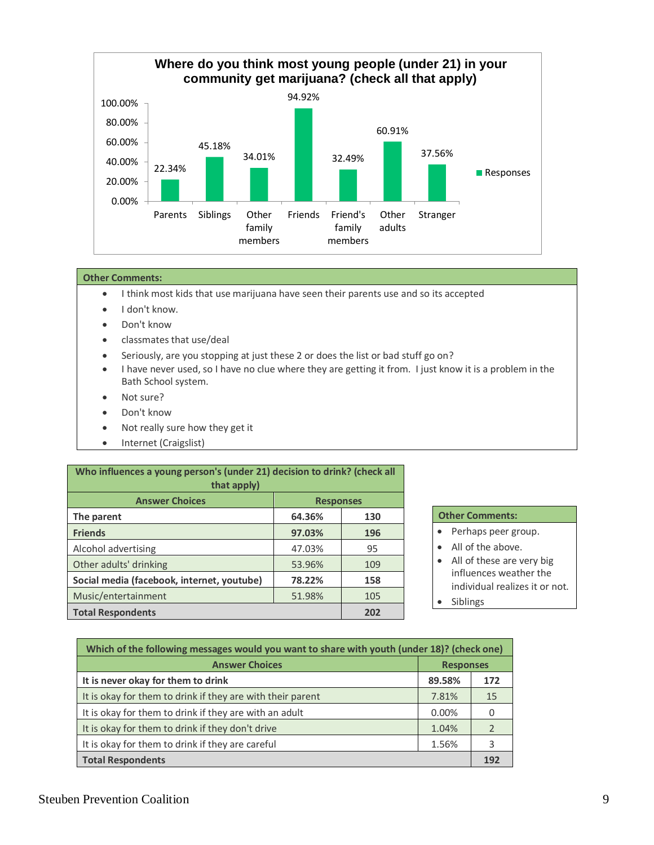

- I think most kids that use marijuana have seen their parents use and so its accepted
- I don't know.
- Don't know
- classmates that use/deal
- Seriously, are you stopping at just these 2 or does the list or bad stuff go on?
- I have never used, so I have no clue where they are getting it from. I just know it is a problem in the Bath School system.
- Not sure?
- Don't know
- Not really sure how they get it
- Internet (Craigslist)

| Who influences a young person's (under 21) decision to drink? (check all<br>that apply) |        |                  |  |  |
|-----------------------------------------------------------------------------------------|--------|------------------|--|--|
| <b>Answer Choices</b>                                                                   |        | <b>Responses</b> |  |  |
| The parent                                                                              | 64.36% | 130              |  |  |
| <b>Friends</b>                                                                          | 97.03% | 196              |  |  |
| Alcohol advertising                                                                     | 47.03% | 95               |  |  |
| Other adults' drinking                                                                  | 53.96% | 109              |  |  |
| Social media (facebook, internet, youtube)                                              | 78.22% | 158              |  |  |
| Music/entertainment                                                                     | 51.98% | 105              |  |  |
| <b>Total Respondents</b>                                                                |        | 202              |  |  |

- Perhaps peer group.
- All of the above.
- All of these are very big influences weather the individual realizes it or not.
- Siblings

| Which of the following messages would you want to share with youth (under 18)? (check one) |        |     |
|--------------------------------------------------------------------------------------------|--------|-----|
| <b>Answer Choices</b><br><b>Responses</b>                                                  |        |     |
| It is never okay for them to drink                                                         | 89.58% | 172 |
| It is okay for them to drink if they are with their parent                                 | 7.81%  | 15  |
| It is okay for them to drink if they are with an adult                                     | 0.00%  |     |
| It is okay for them to drink if they don't drive                                           | 1.04%  |     |
| It is okay for them to drink if they are careful                                           | 1.56%  |     |
| <b>Total Respondents</b>                                                                   |        |     |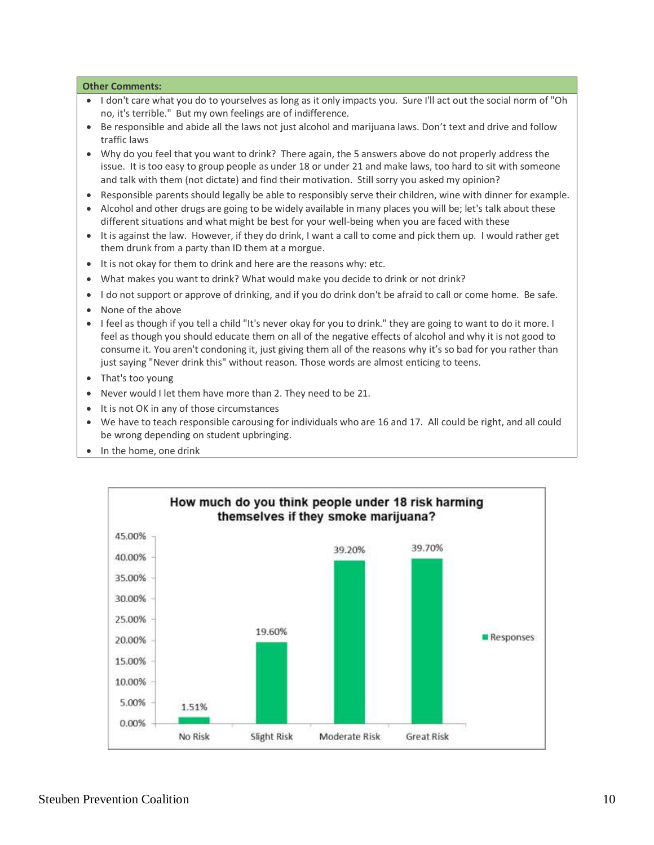- I don't care what you do to yourselves as long as it only impacts you. Sure I'll act out the social norm of "Oh no, it's terrible." But my own feelings are of indifference.
- Be responsible and abide all the laws not just alcohol and marijuana laws. Don't text and drive and follow traffic laws
- Why do you feel that you want to drink? There again, the 5 answers above do not properly address the issue. It is too easy to group people as under 18 or under 21 and make laws, too hard to sit with someone and talk with them (not dictate) and find their motivation. Still sorry you asked my opinion?
- Responsible parents should legally be able to responsibly serve their children, wine with dinner for example.
- Alcohol and other drugs are going to be widely available in many places you will be; let's talk about these different situations and what might be best for your well-being when you are faced with these
- It is against the law. However, if they do drink, I want a call to come and pick them up. I would rather get them drunk from a party than ID them at a morgue.
- It is not okay for them to drink and here are the reasons why: etc.
- What makes you want to drink? What would make you decide to drink or not drink?
- I do not support or approve of drinking, and if you do drink don't be afraid to call or come home. Be safe.
- None of the above
- I feel as though if you tell a child "It's never okay for you to drink." they are going to want to do it more. I feel as though you should educate them on all of the negative effects of alcohol and why it is not good to consume it. You aren't condoning it, just giving them all of the reasons why it's so bad for you rather than just saying "Never drink this" without reason. Those words are almost enticing to teens.
- That's too young
- Never would I let them have more than 2. They need to be 21.
- It is not OK in any of those circumstances
- We have to teach responsible carousing for individuals who are 16 and 17. All could be right, and all could be wrong depending on student upbringing.
- In the home, one drink

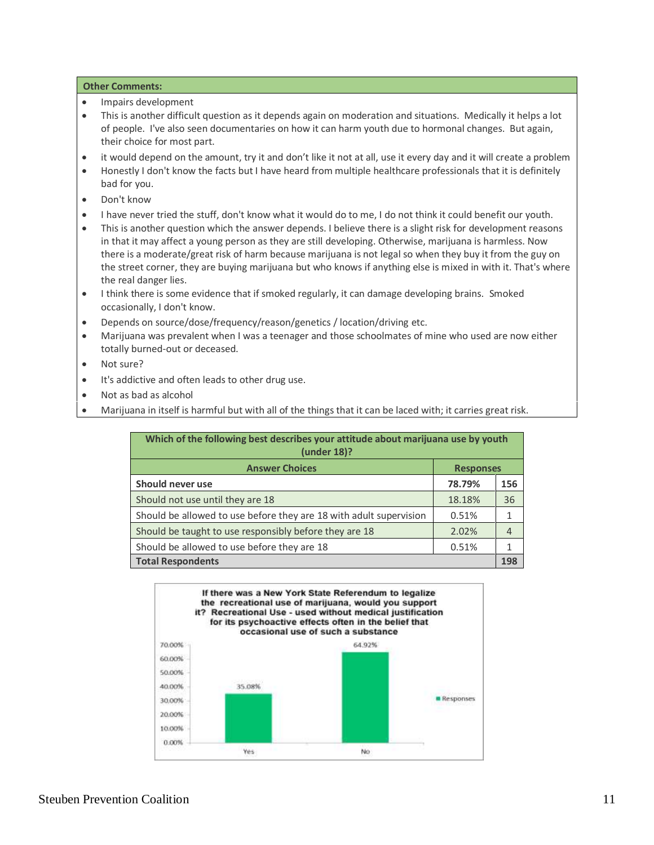- Impairs development
- This is another difficult question as it depends again on moderation and situations. Medically it helps a lot of people. I've also seen documentaries on how it can harm youth due to hormonal changes. But again, their choice for most part.
- it would depend on the amount, try it and don't like it not at all, use it every day and it will create a problem
- Honestly I don't know the facts but I have heard from multiple healthcare professionals that it is definitely bad for you.
- Don't know
- I have never tried the stuff, don't know what it would do to me, I do not think it could benefit our youth.
- This is another question which the answer depends. I believe there is a slight risk for development reasons in that it may affect a young person as they are still developing. Otherwise, marijuana is harmless. Now there is a moderate/great risk of harm because marijuana is not legal so when they buy it from the guy on the street corner, they are buying marijuana but who knows if anything else is mixed in with it. That's where the real danger lies.
- I think there is some evidence that if smoked regularly, it can damage developing brains. Smoked occasionally, I don't know.
- Depends on source/dose/frequency/reason/genetics / location/driving etc.
- Marijuana was prevalent when I was a teenager and those schoolmates of mine who used are now either totally burned-out or deceased.
- Not sure?
- It's addictive and often leads to other drug use.
- Not as bad as alcohol
- Marijuana in itself is harmful but with all of the things that it can be laced with; it carries great risk.

| Which of the following best describes your attitude about marijuana use by youth<br>(under 18)? |                  |     |
|-------------------------------------------------------------------------------------------------|------------------|-----|
| <b>Answer Choices</b>                                                                           | <b>Responses</b> |     |
| Should never use                                                                                | 78.79%           | 156 |
| Should not use until they are 18                                                                | 18.18%           | 36  |
| Should be allowed to use before they are 18 with adult supervision                              | 0.51%            |     |
| Should be taught to use responsibly before they are 18                                          | 2.02%            |     |
| Should be allowed to use before they are 18                                                     | 0.51%            |     |
| <b>Total Respondents</b>                                                                        |                  | 198 |

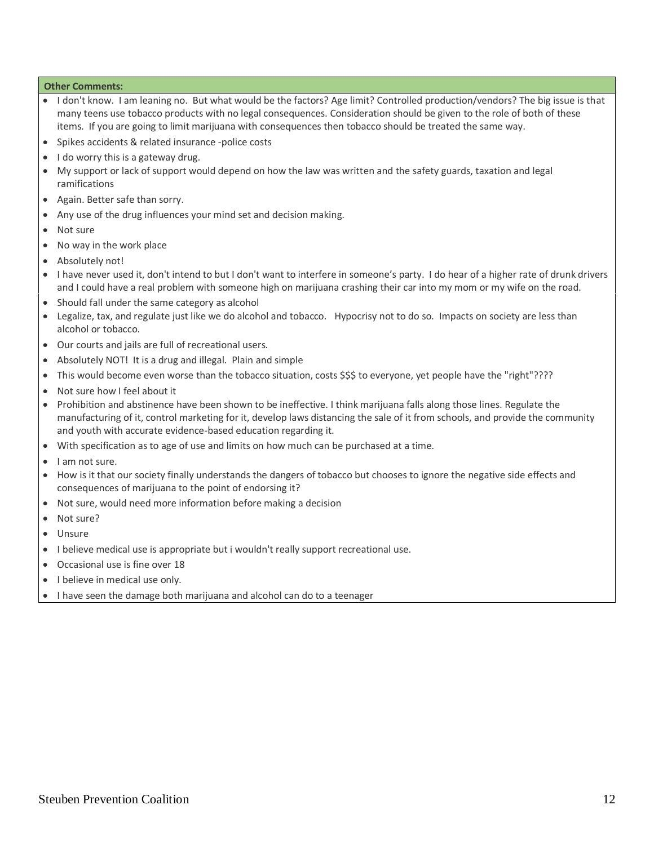- I don't know. I am leaning no. But what would be the factors? Age limit? Controlled production/vendors? The big issue is that many teens use tobacco products with no legal consequences. Consideration should be given to the role of both of these items. If you are going to limit marijuana with consequences then tobacco should be treated the same way.
- Spikes accidents & related insurance -police costs
- I do worry this is a gateway drug.
- My support or lack of support would depend on how the law was written and the safety guards, taxation and legal ramifications
- Again. Better safe than sorry.
- Any use of the drug influences your mind set and decision making.
- Not sure
- No way in the work place
- Absolutely not!
- I have never used it, don't intend to but I don't want to interfere in someone's party. I do hear of a higher rate of drunk drivers and I could have a real problem with someone high on marijuana crashing their car into my mom or my wife on the road.
- Should fall under the same category as alcohol
- Legalize, tax, and regulate just like we do alcohol and tobacco. Hypocrisy not to do so. Impacts on society are less than alcohol or tobacco.
- Our courts and jails are full of recreational users.
- Absolutely NOT! It is a drug and illegal. Plain and simple
- This would become even worse than the tobacco situation, costs \$\$\$ to everyone, yet people have the "right"????
- Not sure how I feel about it
- Prohibition and abstinence have been shown to be ineffective. I think marijuana falls along those lines. Regulate the manufacturing of it, control marketing for it, develop laws distancing the sale of it from schools, and provide the community and youth with accurate evidence-based education regarding it.
- With specification as to age of use and limits on how much can be purchased at a time.
- I am not sure.
- How is it that our society finally understands the dangers of tobacco but chooses to ignore the negative side effects and consequences of marijuana to the point of endorsing it?
- Not sure, would need more information before making a decision
- Not sure?
- Unsure
- I believe medical use is appropriate but i wouldn't really support recreational use.
- Occasional use is fine over 18
- I believe in medical use only.
- I have seen the damage both marijuana and alcohol can do to a teenager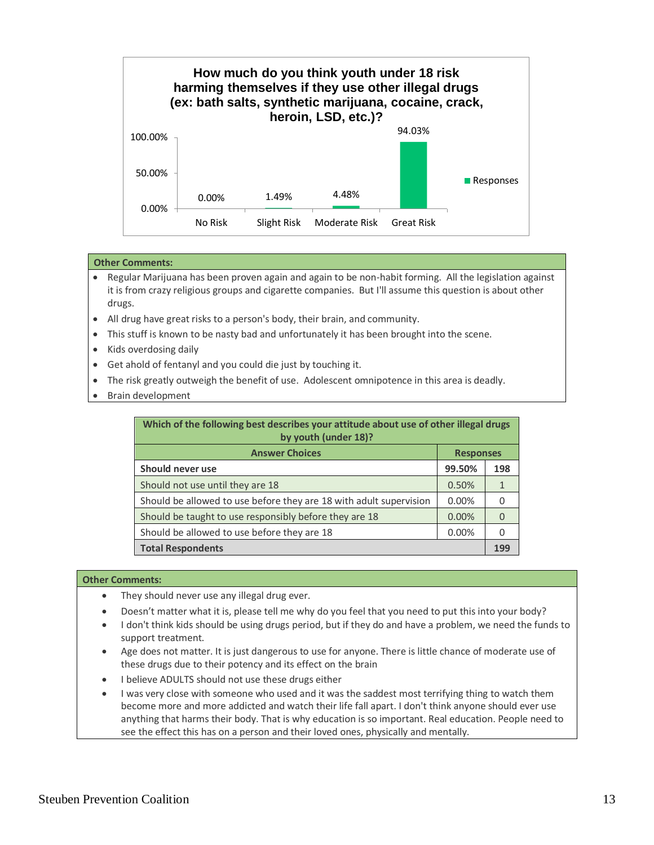

- Regular Marijuana has been proven again and again to be non-habit forming. All the legislation against it is from crazy religious groups and cigarette companies. But I'll assume this question is about other drugs.
- All drug have great risks to a person's body, their brain, and community.
- This stuff is known to be nasty bad and unfortunately it has been brought into the scene.
- Kids overdosing daily
- Get ahold of fentanyl and you could die just by touching it.
- The risk greatly outweigh the benefit of use. Adolescent omnipotence in this area is deadly.
- Brain development

| Which of the following best describes your attitude about use of other illegal drugs<br>by youth (under 18)? |        |     |
|--------------------------------------------------------------------------------------------------------------|--------|-----|
| <b>Answer Choices</b><br><b>Responses</b>                                                                    |        |     |
| Should never use                                                                                             | 99.50% | 198 |
| Should not use until they are 18                                                                             | 0.50%  |     |
| Should be allowed to use before they are 18 with adult supervision                                           | 0.00%  |     |
| Should be taught to use responsibly before they are 18                                                       | 0.00%  |     |
| Should be allowed to use before they are 18                                                                  | 0.00%  |     |
| <b>Total Respondents</b>                                                                                     |        |     |

- They should never use any illegal drug ever.
- Doesn't matter what it is, please tell me why do you feel that you need to put this into your body?
- I don't think kids should be using drugs period, but if they do and have a problem, we need the funds to support treatment.
- Age does not matter. It is just dangerous to use for anyone. There is little chance of moderate use of these drugs due to their potency and its effect on the brain
- I believe ADULTS should not use these drugs either
- I was very close with someone who used and it was the saddest most terrifying thing to watch them become more and more addicted and watch their life fall apart. I don't think anyone should ever use anything that harms their body. That is why education is so important. Real education. People need to see the effect this has on a person and their loved ones, physically and mentally.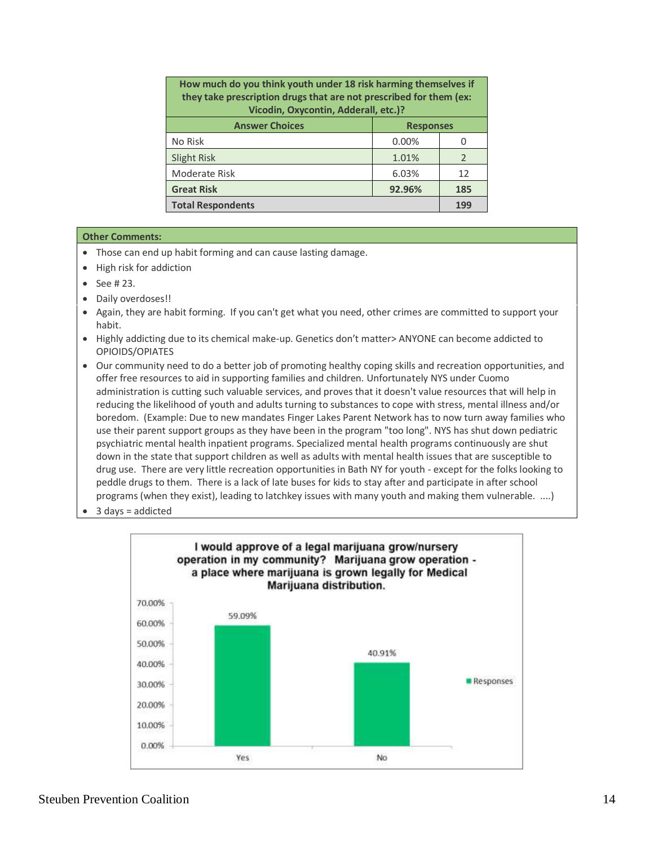| How much do you think youth under 18 risk harming themselves if<br>they take prescription drugs that are not prescribed for them (ex:<br>Vicodin, Oxycontin, Adderall, etc.)? |                  |                |
|-------------------------------------------------------------------------------------------------------------------------------------------------------------------------------|------------------|----------------|
| <b>Answer Choices</b>                                                                                                                                                         | <b>Responses</b> |                |
| No Risk                                                                                                                                                                       | 0.00%            | 0              |
| Slight Risk                                                                                                                                                                   | 1.01%            | $\overline{2}$ |
| Moderate Risk                                                                                                                                                                 | 6.03%            | 12             |
| <b>Great Risk</b>                                                                                                                                                             | 92.96%           | 185            |
| <b>Total Respondents</b>                                                                                                                                                      |                  | 199            |

- Those can end up habit forming and can cause lasting damage.
- High risk for addiction
- $\bullet$  See #23.
- Daily overdoses!!
- Again, they are habit forming. If you can't get what you need, other crimes are committed to support your habit.
- Highly addicting due to its chemical make-up. Genetics don't matter> ANYONE can become addicted to OPIOIDS/OPIATES
- Our community need to do a better job of promoting healthy coping skills and recreation opportunities, and offer free resources to aid in supporting families and children. Unfortunately NYS under Cuomo administration is cutting such valuable services, and proves that it doesn't value resources that will help in reducing the likelihood of youth and adults turning to substances to cope with stress, mental illness and/or boredom. (Example: Due to new mandates Finger Lakes Parent Network has to now turn away families who use their parent support groups as they have been in the program "too long". NYS has shut down pediatric psychiatric mental health inpatient programs. Specialized mental health programs continuously are shut down in the state that support children as well as adults with mental health issues that are susceptible to drug use. There are very little recreation opportunities in Bath NY for youth - except for the folks looking to peddle drugs to them. There is a lack of late buses for kids to stay after and participate in after school programs (when they exist), leading to latchkey issues with many youth and making them vulnerable. ....)
- $\bullet$  3 days = addicted

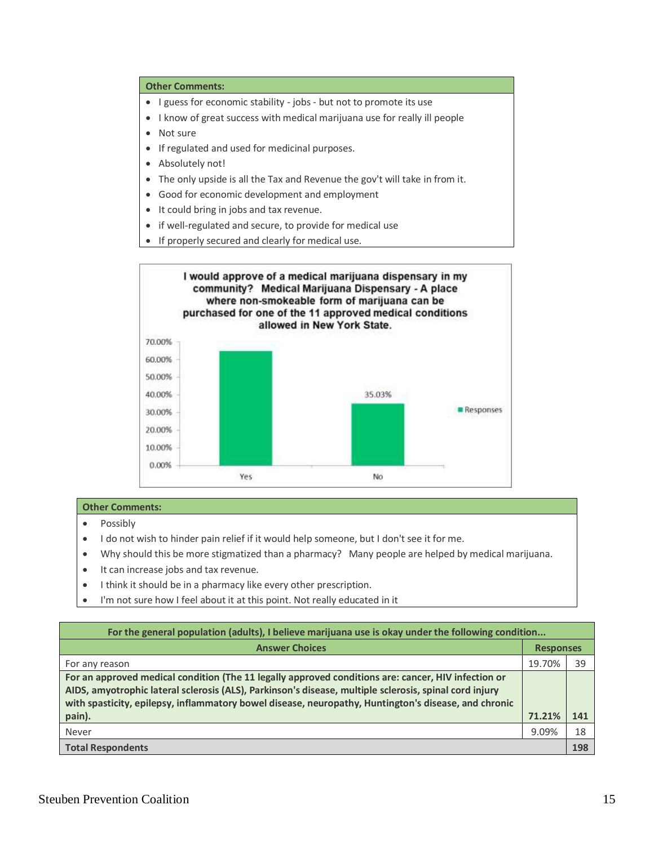- I guess for economic stability jobs but not to promote its use
- I know of great success with medical marijuana use for really ill people
- Not sure
- If regulated and used for medicinal purposes.
- Absolutely not!
- The only upside is all the Tax and Revenue the gov't will take in from it.
- Good for economic development and employment
- It could bring in jobs and tax revenue.
- if well-regulated and secure, to provide for medical use
- If properly secured and clearly for medical use.



- Possibly
- I do not wish to hinder pain relief if it would help someone, but I don't see it for me.
- Why should this be more stigmatized than a pharmacy? Many people are helped by medical marijuana.
- It can increase jobs and tax revenue.
- I think it should be in a pharmacy like every other prescription.
- I'm not sure how I feel about it at this point. Not really educated in it

| For the general population (adults), I believe marijuana use is okay under the following condition                                                                                                                                                                                                                    |                  |     |
|-----------------------------------------------------------------------------------------------------------------------------------------------------------------------------------------------------------------------------------------------------------------------------------------------------------------------|------------------|-----|
| <b>Answer Choices</b>                                                                                                                                                                                                                                                                                                 | <b>Responses</b> |     |
| For any reason                                                                                                                                                                                                                                                                                                        | 19.70%           | 39  |
| For an approved medical condition (The 11 legally approved conditions are: cancer, HIV infection or<br>AIDS, amyotrophic lateral sclerosis (ALS), Parkinson's disease, multiple sclerosis, spinal cord injury<br>with spasticity, epilepsy, inflammatory bowel disease, neuropathy, Huntington's disease, and chronic |                  |     |
| pain).                                                                                                                                                                                                                                                                                                                | 71.21%           | 141 |
| Never                                                                                                                                                                                                                                                                                                                 | 9.09%            | 18  |
| <b>Total Respondents</b>                                                                                                                                                                                                                                                                                              |                  | 198 |